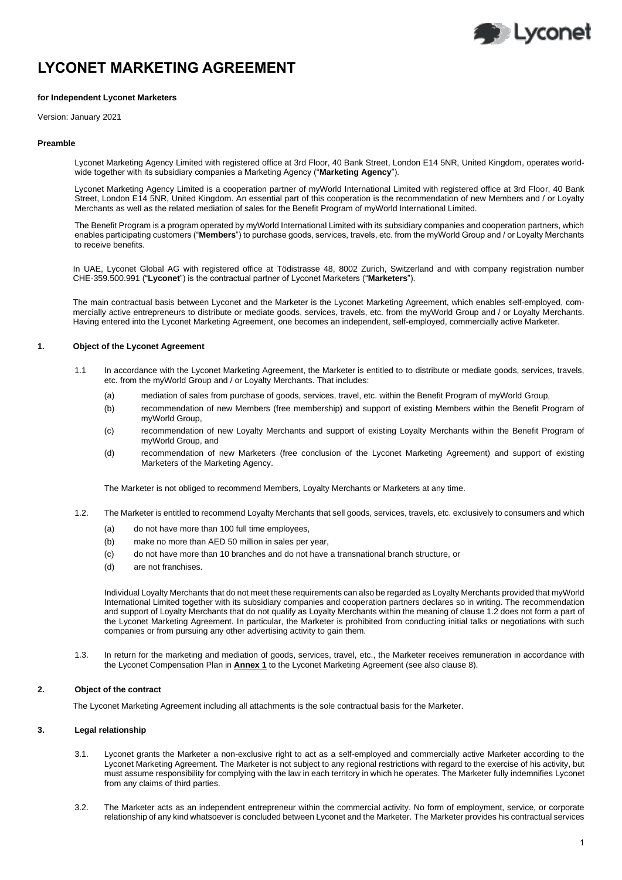# **D** Lyconet

# **LYCONET MARKETING AGREEMENT**

# **for Independent Lyconet Marketers**

Version: January 2021

# **Preamble**

Lyconet Marketing Agency Limited with registered office at 3rd Floor, 40 Bank Street, London E14 5NR, United Kingdom, operates worldwide together with its subsidiary companies a Marketing Agency ("**Marketing Agency**").

Lyconet Marketing Agency Limited is a cooperation partner of myWorld International Limited with registered office at 3rd Floor, 40 Bank Street, London E14 5NR, United Kingdom. An essential part of this cooperation is the recommendation of new Members and / or Loyalty Merchants as well as the related mediation of sales for the Benefit Program of myWorld International Limited.

The Benefit Program is a program operated by myWorld International Limited with its subsidiary companies and cooperation partners, which enables participating customers ("**Members**") to purchase goods, services, travels, etc. from the myWorld Group and / or Loyalty Merchants to receive benefits.

In UAE, Lyconet Global AG with registered office at Tödistrasse 48, 8002 Zurich, Switzerland and with company registration number CHE-359.500.991 ("**Lyconet**") is the contractual partner of Lyconet Marketers ("**Marketers**").

The main contractual basis between Lyconet and the Marketer is the Lyconet Marketing Agreement, which enables self-employed, commercially active entrepreneurs to distribute or mediate goods, services, travels, etc. from the myWorld Group and / or Loyalty Merchants. Having entered into the Lyconet Marketing Agreement, one becomes an independent, self-employed, commercially active Marketer.

# **1. Object of the Lyconet Agreement**

- 1.1 In accordance with the Lyconet Marketing Agreement, the Marketer is entitled to to distribute or mediate goods, services, travels, etc. from the myWorld Group and / or Loyalty Merchants. That includes:
	- (a) mediation of sales from purchase of goods, services, travel, etc. within the Benefit Program of myWorld Group,
	- (b) recommendation of new Members (free membership) and support of existing Members within the Benefit Program of myWorld Group,
	- (c) recommendation of new Loyalty Merchants and support of existing Loyalty Merchants within the Benefit Program of myWorld Group, and
	- (d) recommendation of new Marketers (free conclusion of the Lyconet Marketing Agreement) and support of existing Marketers of the Marketing Agency.

The Marketer is not obliged to recommend Members, Loyalty Merchants or Marketers at any time.

- 1.2. The Marketer is entitled to recommend Loyalty Merchants that sell goods, services, travels, etc. exclusively to consumers and which
	- (a) do not have more than 100 full time employees,
	- (b) make no more than AED 50 million in sales per year,
	- (c) do not have more than 10 branches and do not have a transnational branch structure, or
	- (d) are not franchises.

Individual Loyalty Merchants that do not meet these requirements can also be regarded as Loyalty Merchants provided that myWorld International Limited together with its subsidiary companies and cooperation partners declares so in writing. The recommendation and support of Loyalty Merchants that do not qualify as Loyalty Merchants within the meaning of clause 1.2 does not form a part of the Lyconet Marketing Agreement. In particular, the Marketer is prohibited from conducting initial talks or negotiations with such companies or from pursuing any other advertising activity to gain them.

1.3. In return for the marketing and mediation of goods, services, travel, etc., the Marketer receives remuneration in accordance with the Lyconet Compensation Plan in **Annex 1** to the Lyconet Marketing Agreement (see also clause 8).

# **2. Object of the contract**

The Lyconet Marketing Agreement including all attachments is the sole contractual basis for the Marketer.

# **3. Legal relationship**

- 3.1. Lyconet grants the Marketer a non-exclusive right to act as a self-employed and commercially active Marketer according to the Lyconet Marketing Agreement. The Marketer is not subject to any regional restrictions with regard to the exercise of his activity, but must assume responsibility for complying with the law in each territory in which he operates. The Marketer fully indemnifies Lyconet from any claims of third parties.
- 3.2. The Marketer acts as an independent entrepreneur within the commercial activity. No form of employment, service, or corporate relationship of any kind whatsoever is concluded between Lyconet and the Marketer. The Marketer provides his contractual services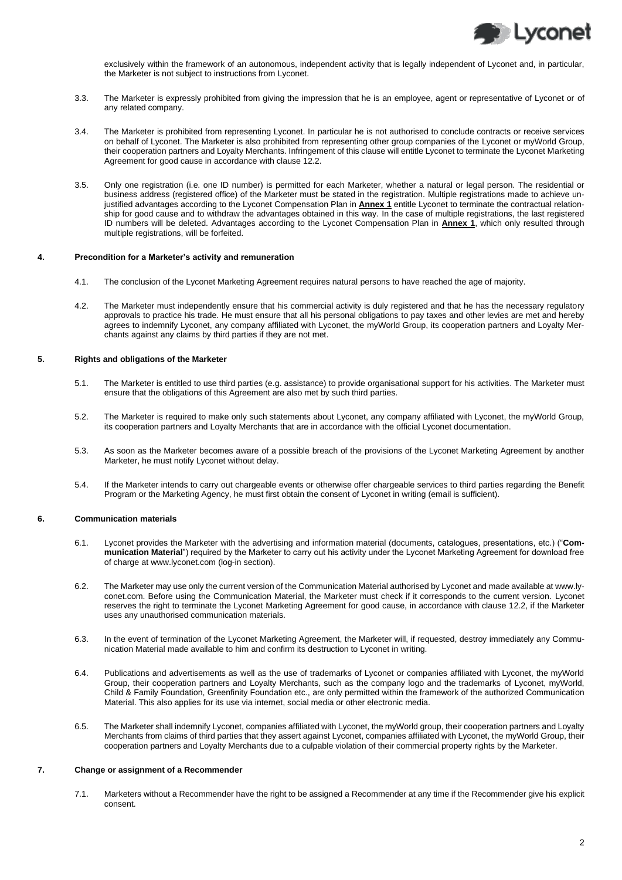

exclusively within the framework of an autonomous, independent activity that is legally independent of Lyconet and, in particular, the Marketer is not subject to instructions from Lyconet.

- 3.3. The Marketer is expressly prohibited from giving the impression that he is an employee, agent or representative of Lyconet or of any related company.
- 3.4. The Marketer is prohibited from representing Lyconet. In particular he is not authorised to conclude contracts or receive services on behalf of Lyconet. The Marketer is also prohibited from representing other group companies of the Lyconet or myWorld Group, their cooperation partners and Loyalty Merchants. Infringement of this clause will entitle Lyconet to terminate the Lyconet Marketing Agreement for good cause in accordance with clause 12.2.
- 3.5. Only one registration (i.e. one ID number) is permitted for each Marketer, whether a natural or legal person. The residential or business address (registered office) of the Marketer must be stated in the registration. Multiple registrations made to achieve unjustified advantages according to the Lyconet Compensation Plan in **Annex 1** entitle Lyconet to terminate the contractual relationship for good cause and to withdraw the advantages obtained in this way. In the case of multiple registrations, the last registered ID numbers will be deleted. Advantages according to the Lyconet Compensation Plan in **Annex 1**, which only resulted through multiple registrations, will be forfeited.

#### **4. Precondition for a Marketer's activity and remuneration**

- 4.1. The conclusion of the Lyconet Marketing Agreement requires natural persons to have reached the age of majority.
- 4.2. The Marketer must independently ensure that his commercial activity is duly registered and that he has the necessary regulatory approvals to practice his trade. He must ensure that all his personal obligations to pay taxes and other levies are met and hereby agrees to indemnify Lyconet, any company affiliated with Lyconet, the myWorld Group, its cooperation partners and Loyalty Merchants against any claims by third parties if they are not met.

# **5. Rights and obligations of the Marketer**

- 5.1. The Marketer is entitled to use third parties (e.g. assistance) to provide organisational support for his activities. The Marketer must ensure that the obligations of this Agreement are also met by such third parties.
- 5.2. The Marketer is required to make only such statements about Lyconet, any company affiliated with Lyconet, the myWorld Group, its cooperation partners and Loyalty Merchants that are in accordance with the official Lyconet documentation.
- 5.3. As soon as the Marketer becomes aware of a possible breach of the provisions of the Lyconet Marketing Agreement by another Marketer, he must notify Lyconet without delay.
- 5.4. If the Marketer intends to carry out chargeable events or otherwise offer chargeable services to third parties regarding the Benefit Program or the Marketing Agency, he must first obtain the consent of Lyconet in writing (email is sufficient).

# **6. Communication materials**

- 6.1. Lyconet provides the Marketer with the advertising and information material (documents, catalogues, presentations, etc.) ("**Communication Material**") required by the Marketer to carry out his activity under the Lyconet Marketing Agreement for download free of charge a[t www.lyconet.com](http://www.lyconet.com/) (log-in section).
- 6.2. The Marketer may use only the current version of the Communication Material authorised by Lyconet and made available at www.lyconet.com. Before using the Communication Material, the Marketer must check if it corresponds to the current version. Lyconet reserves the right to terminate the Lyconet Marketing Agreement for good cause, in accordance with clause 12.2, if the Marketer uses any unauthorised communication materials.
- 6.3. In the event of termination of the Lyconet Marketing Agreement, the Marketer will, if requested, destroy immediately any Communication Material made available to him and confirm its destruction to Lyconet in writing.
- 6.4. Publications and advertisements as well as the use of trademarks of Lyconet or companies affiliated with Lyconet, the myWorld Group, their cooperation partners and Loyalty Merchants, such as the company logo and the trademarks of Lyconet, myWorld, Child & Family Foundation, Greenfinity Foundation etc., are only permitted within the framework of the authorized Communication Material. This also applies for its use via internet, social media or other electronic media.
- 6.5. The Marketer shall indemnify Lyconet, companies affiliated with Lyconet, the myWorld group, their cooperation partners and Loyalty Merchants from claims of third parties that they assert against Lyconet, companies affiliated with Lyconet, the myWorld Group, their cooperation partners and Loyalty Merchants due to a culpable violation of their commercial property rights by the Marketer.

#### **7. Change or assignment of a Recommender**

7.1. Marketers without a Recommender have the right to be assigned a Recommender at any time if the Recommender give his explicit consent.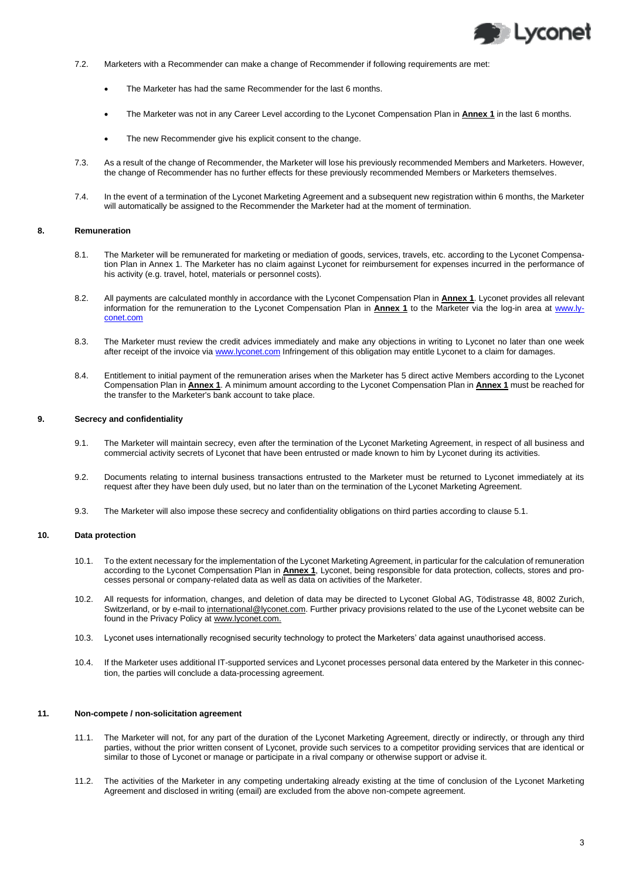

- 7.2. Marketers with a Recommender can make a change of Recommender if following requirements are met:
	- The Marketer has had the same Recommender for the last 6 months.
	- The Marketer was not in any Career Level according to the Lyconet Compensation Plan in **Annex 1** in the last 6 months.
	- The new Recommender give his explicit consent to the change.
- 7.3. As a result of the change of Recommender, the Marketer will lose his previously recommended Members and Marketers. However, the change of Recommender has no further effects for these previously recommended Members or Marketers themselves.
- 7.4. In the event of a termination of the Lyconet Marketing Agreement and a subsequent new registration within 6 months, the Marketer will automatically be assigned to the Recommender the Marketer had at the moment of termination.

#### **8. Remuneration**

- 8.1. The Marketer will be remunerated for marketing or mediation of goods, services, travels, etc. according to the Lyconet Compensation Plan in Annex 1. The Marketer has no claim against Lyconet for reimbursement for expenses incurred in the performance of his activity (e.g. travel, hotel, materials or personnel costs).
- 8.2. All payments are calculated monthly in accordance with the Lyconet Compensation Plan in **Annex 1**. Lyconet provides all relevant information for the remuneration to the Lyconet Compensation Plan in **Annex 1** to the Marketer via the log-in area at [www.ly](http://www.lyconet.com/)[conet.com](http://www.lyconet.com/)
- 8.3. The Marketer must review the credit advices immediately and make any objections in writing to Lyconet no later than one week after receipt of the invoice via [www.lyconet.com](http://www.lyconet.com/) Infringement of this obligation may entitle Lyconet to a claim for damages.
- 8.4. Entitlement to initial payment of the remuneration arises when the Marketer has 5 direct active Members according to the Lyconet Compensation Plan in **Annex 1**. A minimum amount according to the Lyconet Compensation Plan in **Annex 1** must be reached for the transfer to the Marketer's bank account to take place.

# **9. Secrecy and confidentiality**

- 9.1. The Marketer will maintain secrecy, even after the termination of the Lyconet Marketing Agreement, in respect of all business and commercial activity secrets of Lyconet that have been entrusted or made known to him by Lyconet during its activities.
- 9.2. Documents relating to internal business transactions entrusted to the Marketer must be returned to Lyconet immediately at its request after they have been duly used, but no later than on the termination of the Lyconet Marketing Agreement.
- 9.3. The Marketer will also impose these secrecy and confidentiality obligations on third parties according to clause 5.1.

# **10. Data protection**

- 10.1. To the extent necessary for the implementation of the Lyconet Marketing Agreement, in particular for the calculation of remuneration according to the Lyconet Compensation Plan in **Annex 1**, Lyconet, being responsible for data protection, collects, stores and processes personal or company-related data as well as data on activities of the Marketer.
- 10.2. All requests for information, changes, and deletion of data may be directed to Lyconet Global AG, Tödistrasse 48, 8002 Zurich, Switzerland, or by e-mail to international@lyconet.com. Further privacy provisions related to the use of the Lyconet website can be found in the Privacy Policy at www.lyconet.com.
- 10.3. Lyconet uses internationally recognised security technology to protect the Marketers' data against unauthorised access.
- 10.4. If the Marketer uses additional IT-supported services and Lyconet processes personal data entered by the Marketer in this connection, the parties will conclude a data-processing agreement.

# **11. Non-compete / non-solicitation agreement**

- 11.1. The Marketer will not, for any part of the duration of the Lyconet Marketing Agreement, directly or indirectly, or through any third parties, without the prior written consent of Lyconet, provide such services to a competitor providing services that are identical or similar to those of Lyconet or manage or participate in a rival company or otherwise support or advise it.
- 11.2. The activities of the Marketer in any competing undertaking already existing at the time of conclusion of the Lyconet Marketing Agreement and disclosed in writing (email) are excluded from the above non-compete agreement.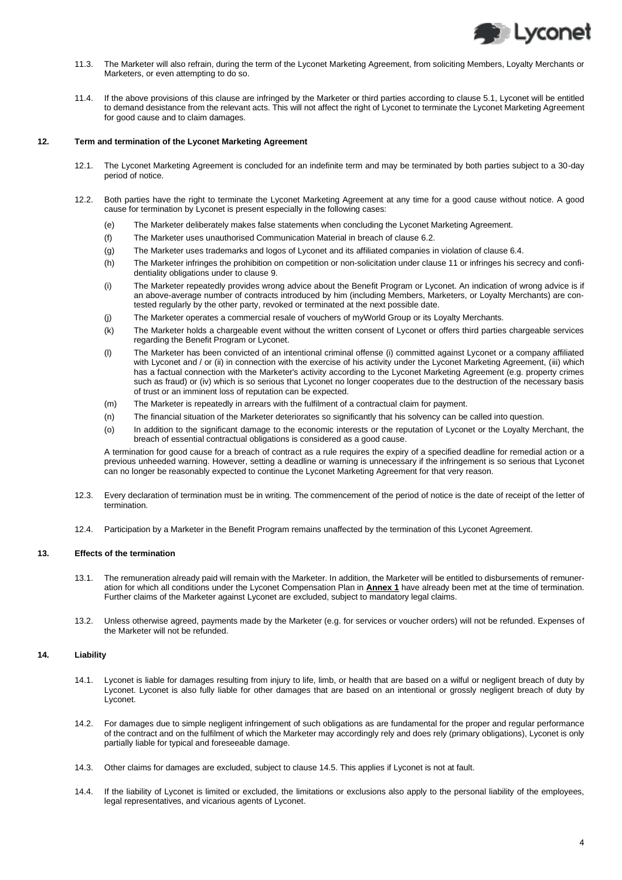

- 11.3. The Marketer will also refrain, during the term of the Lyconet Marketing Agreement, from soliciting Members, Loyalty Merchants or Marketers, or even attempting to do so.
- 11.4. If the above provisions of this clause are infringed by the Marketer or third parties according to clause 5.1, Lyconet will be entitled to demand desistance from the relevant acts. This will not affect the right of Lyconet to terminate the Lyconet Marketing Agreement for good cause and to claim damages.

# **12. Term and termination of the Lyconet Marketing Agreement**

- 12.1. The Lyconet Marketing Agreement is concluded for an indefinite term and may be terminated by both parties subject to a 30-day period of notice.
- 12.2. Both parties have the right to terminate the Lyconet Marketing Agreement at any time for a good cause without notice. A good cause for termination by Lyconet is present especially in the following cases:
	- (e) The Marketer deliberately makes false statements when concluding the Lyconet Marketing Agreement.
	- (f) The Marketer uses unauthorised Communication Material in breach of clause 6.2.
	- (g) The Marketer uses trademarks and logos of Lyconet and its affiliated companies in violation of clause 6.4.
	- (h) The Marketer infringes the prohibition on competition or non-solicitation under clause 11 or infringes his secrecy and confidentiality obligations under to clause 9.
	- (i) The Marketer repeatedly provides wrong advice about the Benefit Program or Lyconet. An indication of wrong advice is if an above-average number of contracts introduced by him (including Members, Marketers, or Loyalty Merchants) are contested regularly by the other party, revoked or terminated at the next possible date.
	- (j) The Marketer operates a commercial resale of vouchers of myWorld Group or its Loyalty Merchants.
	- (k) The Marketer holds a chargeable event without the written consent of Lyconet or offers third parties chargeable services regarding the Benefit Program or Lyconet.
	- (l) The Marketer has been convicted of an intentional criminal offense (i) committed against Lyconet or a company affiliated with Lyconet and / or (ii) in connection with the exercise of his activity under the Lyconet Marketing Agreement, (iii) which has a factual connection with the Marketer's activity according to the Lyconet Marketing Agreement (e.g. property crimes such as fraud) or (iv) which is so serious that Lyconet no longer cooperates due to the destruction of the necessary basis of trust or an imminent loss of reputation can be expected.
	- (m) The Marketer is repeatedly in arrears with the fulfilment of a contractual claim for payment.
	- (n) The financial situation of the Marketer deteriorates so significantly that his solvency can be called into question.
	- (o) In addition to the significant damage to the economic interests or the reputation of Lyconet or the Loyalty Merchant, the breach of essential contractual obligations is considered as a good cause.

A termination for good cause for a breach of contract as a rule requires the expiry of a specified deadline for remedial action or a previous unheeded warning. However, setting a deadline or warning is unnecessary if the infringement is so serious that Lyconet can no longer be reasonably expected to continue the Lyconet Marketing Agreement for that very reason.

- 12.3. Every declaration of termination must be in writing. The commencement of the period of notice is the date of receipt of the letter of termination.
- 12.4. Participation by a Marketer in the Benefit Program remains unaffected by the termination of this Lyconet Agreement.

# **13. Effects of the termination**

- 13.1. The remuneration already paid will remain with the Marketer. In addition, the Marketer will be entitled to disbursements of remuneration for which all conditions under the Lyconet Compensation Plan in **Annex 1** have already been met at the time of termination. Further claims of the Marketer against Lyconet are excluded, subject to mandatory legal claims.
- 13.2. Unless otherwise agreed, payments made by the Marketer (e.g. for services or voucher orders) will not be refunded. Expenses of the Marketer will not be refunded.

# **14. Liability**

- 14.1. Lyconet is liable for damages resulting from injury to life, limb, or health that are based on a wilful or negligent breach of duty by Lyconet. Lyconet is also fully liable for other damages that are based on an intentional or grossly negligent breach of duty by Lyconet.
- 14.2. For damages due to simple negligent infringement of such obligations as are fundamental for the proper and regular performance of the contract and on the fulfilment of which the Marketer may accordingly rely and does rely (primary obligations), Lyconet is only partially liable for typical and foreseeable damage.
- 14.3. Other claims for damages are excluded, subject to clause 14.5. This applies if Lyconet is not at fault.
- 14.4. If the liability of Lyconet is limited or excluded, the limitations or exclusions also apply to the personal liability of the employees, legal representatives, and vicarious agents of Lyconet.